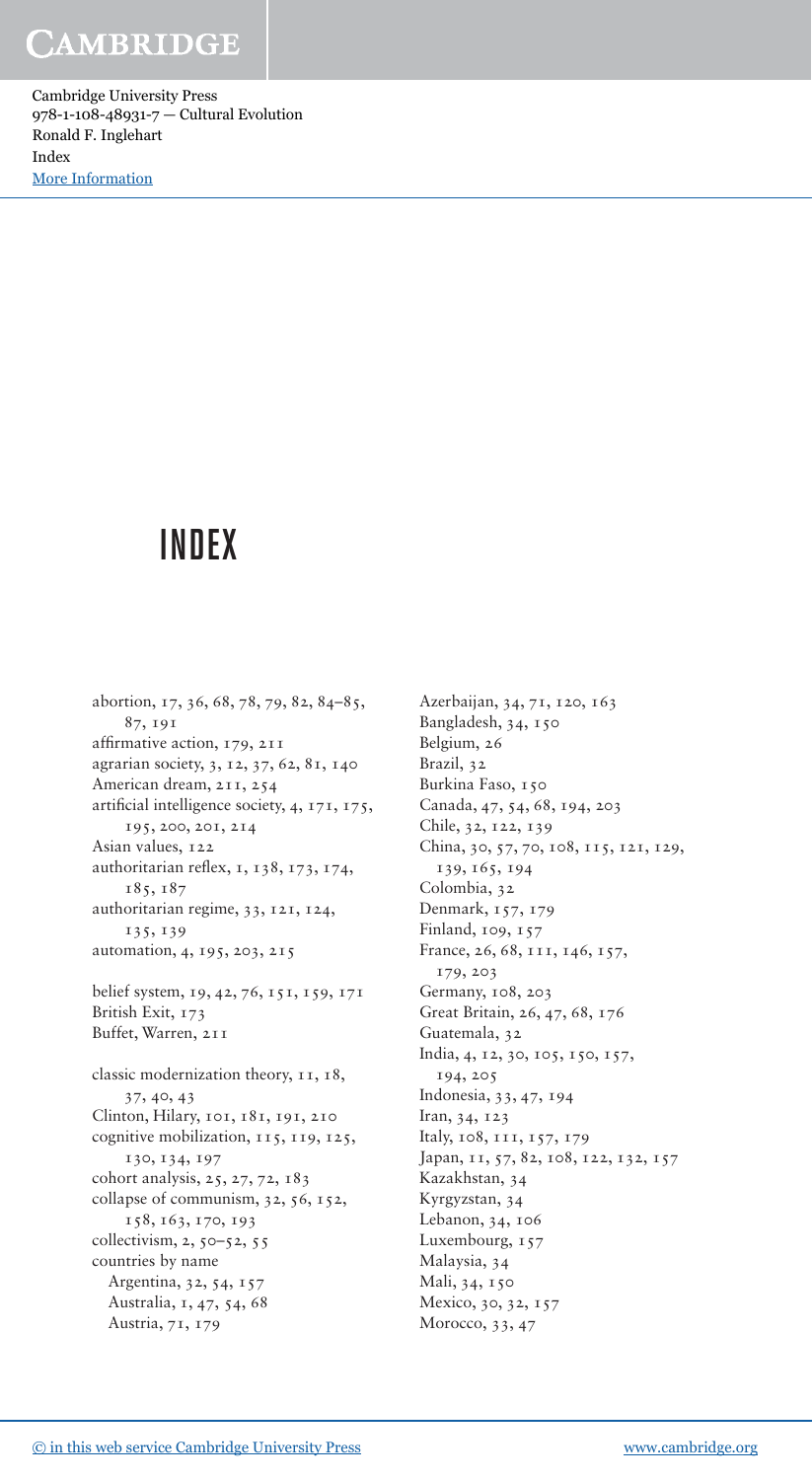Cambridge University Press 978-1-108-48931-7 — Cultural Evolution Ronald F. Inglehart Index [More Information](www.cambridge.org/9781108489317)

# INDEX

abortion, 17, 36, 68, 78, 79, 82, 84-85, 87, 191 affirmative action, 179, 211 agrarian society, 3, 12, 37, 62, 81, 140 American dream, 211, 254 artificial intelligence society, 4, 171, 175, 195, 200, 201, 214 Asian values, 122 authoritarian reflex,  $1, 138, 173, 174$ , 185, 187 authoritarian regime, 33, 121, 124, 135 , 139 automation, 4, 195, 203, 215 belief system, 19, 42, 76, 151, 159, 171 British Exit, 173 Buffet, Warren, 211 classic modernization theory, 11, 18, 37, 40, 43 Clinton, Hilary, 101, 181, 191, 210 cognitive mobilization, 115, 119, 125, 130, 134, 197 cohort analysis, 25, 27, 72, 183 collapse of communism, 32, 56, 152, 158, 163, 170, 193 collectivism,  $2, 50 - 52, 55$  countries by name Argentina, 32, 54, 157 Australia, 1, 47, 54, 68 Austria, 71, 179

Azerbaijan, 34, 71, 120, 163 Bangladesh, 34, 150 Belgium, 26 Brazil, 32 Burkina Faso, 150 Canada, 47, 54, 68, 194, 203 Chile, 32, 122, 139 China, 30, 57, 70, 108, 115, 121, 129, 139, 165, 194 Colombia, 32 Denmark, 157, 179 Finland, 109, 157 France, 26, 68, 111, 146, 157, 179, 203 Germany, 108, 203 Great Britain, 26, 47, 68, 176 Guatemala, 32 India, 4, 12, 30, 105, 150, 157, 194, 205 Indonesia, 33, 47, 194 Iran, 34, 123 Italy, 108, 111, 157, 179 Japan, 11, 57, 82, 108, 122, 132, 157 Kazakhstan, 34 Kyrgyzstan, 34 Lebanon, 34, 106 Luxembourg, 157 Malaysia, 34 Mali, 34, 150 Mexico, 30, 32, 157 Morocco, 33, 47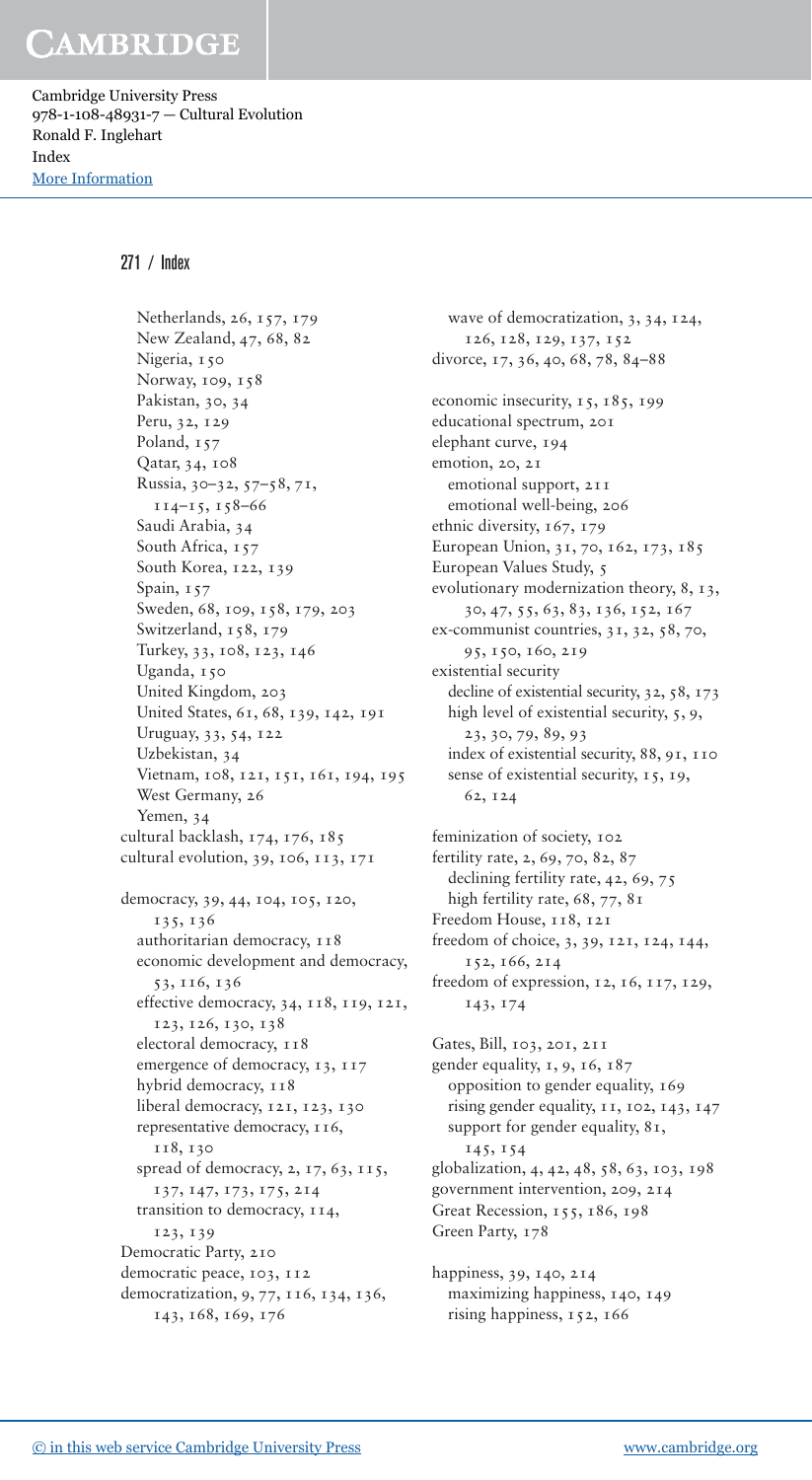Cambridge University Press 978-1-108-48931-7 — Cultural Evolution Ronald F. Inglehart Index [More Information](www.cambridge.org/9781108489317)

#### 271 / Index

Netherlands, 26, 157, 179 New Zealand, 47, 68, 82 Nigeria, 150 Norway, 109, 158 Pakistan, 30, 34 Peru, 32, 129 Poland,  $157$ Qatar, 34, 108 Russia, 30-32, 57-58, 71,  $114 - 15, 158 - 66$ Saudi Arabia, 34 South Africa, 157 South Korea, 122, 139 Spain, 157 Sweden, 68, 109, 158, 179, 203 Switzerland, 158, 179 Turkey, 33, 108, 123, 146 Uganda, 150 United Kingdom, 203 United States, 61, 68, 139, 142, 191 Uruguay, 33, 54, 122 Uzbekistan, 34 Vietnam, 108, 121, 151, 161, 194, 195 West Germany, 26 Yemen, 34 cultural backlash,  $174$ ,  $176$ ,  $185$ cultural evolution, 39, 106,  $113$ ,  $171$ democracy, 39, 44, 104, 105, 120, 135 , 136 authoritarian democracy,  $118$  economic development and democracy, 53, 116, 136 effective democracy, 34, 118, 119, 121, 123, 126, 130, 138 electoral democracy,  $118$ emergence of democracy, 13, 117 hybrid democracy,  $118$ liberal democracy, 121, 123, 130 representative democracy,  $116$ , 118, 130 spread of democracy,  $2, 17, 63, 115,$  137 , 147 , 173 , 175 , 214 transition to democracy,  $114$ , 123, 139 Democratic Party, 210 democratic peace, 103, 112 democratization, 9, 77, 116, 134, 136, 143, 168, 169, 176

wave of democratization, 3, 34, 124, 126, 128, 129, 137, 152 divorce, 17, 36, 40, 68, 78, 84-88 economic insecurity, 15, 185, 199 educational spectrum, 201 elephant curve, 194 emotion, 20, 21 emotional support, 211 emotional well-being, 206 ethnic diversity, 167, 179 European Union, 31, 70, 162, 173, 185 European Values Study, 5 evolutionary modernization theory, 8, 13, 30 , 47 , 55 , 63 , 83 , 136 , 152 , 167 ex-communist countries, 31, 32, 58, 70, 95, 150, 160, 219 existential security decline of existential security, 32, 58, 173 high level of existential security, 5, 9, 23, 30, 79, 89, 93 index of existential security, 88, 91, 110 sense of existential security, 15, 19, 62, 124

feminization of society, 102 fertility rate, 2, 69, 70, 82, 87 declining fertility rate, 42, 69, 75 high fertility rate, 68, 77, 81 Freedom House, 118, 121 freedom of choice, 3, 39, 121, 124, 144, 152, 166, 214 freedom of expression,  $12$ ,  $16$ ,  $117$ ,  $129$ , 143 , 174

Gates, Bill, 103, 201, 211 gender equality,  $1, 9, 16, 187$  opposition to gender equality, 169 rising gender equality,  $11, 102, 143, 147$ support for gender equality,  $81$ , 145 , 154 globalization, 4, 42, 48, 58, 63, 103, 198 government intervention, 209, 214 Great Recession, 155, 186, 198 Green Party, 178

happiness, 39, 140, 214 maximizing happiness, 140, 149 rising happiness, 152, 166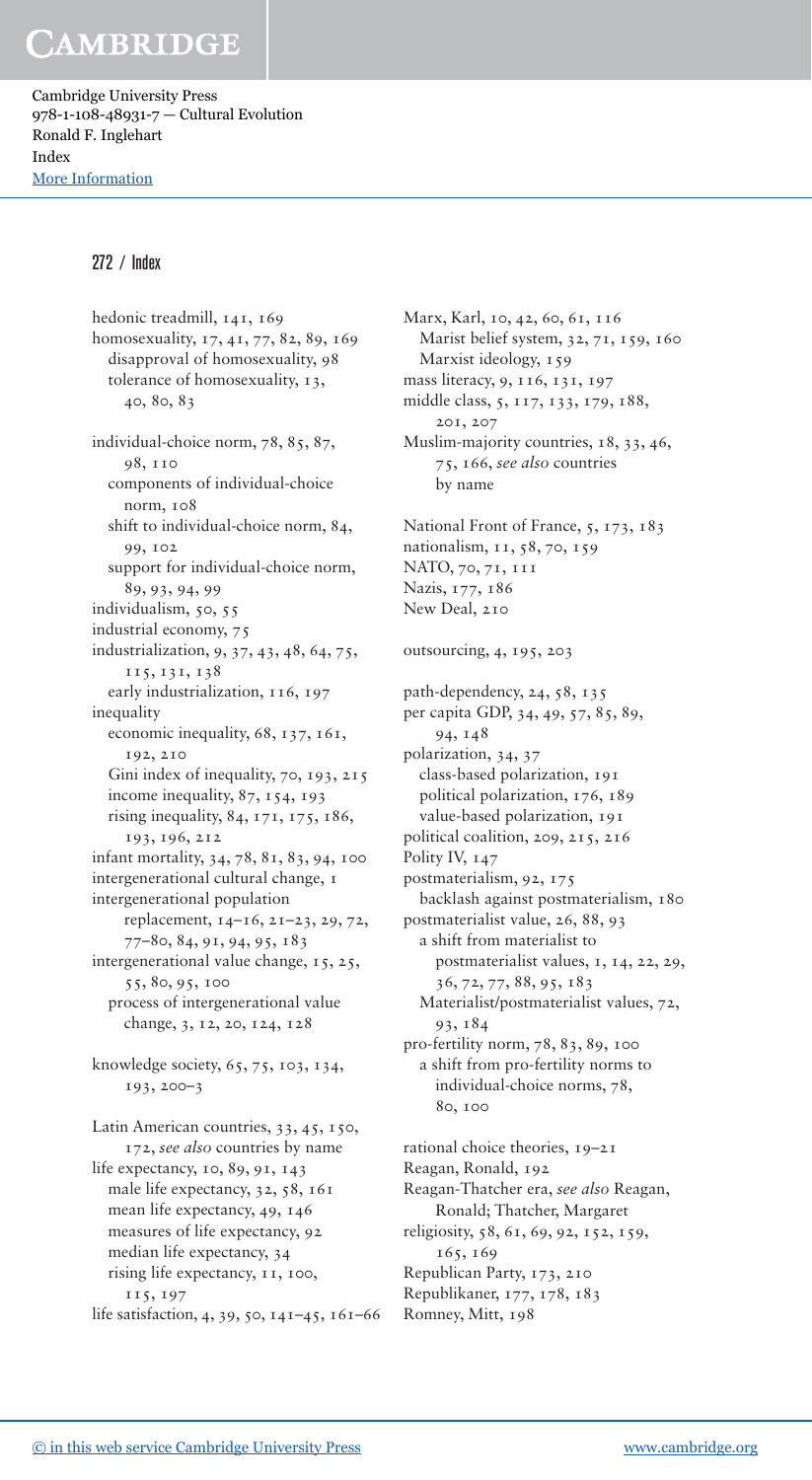Cambridge University Press 978-1-108-48931-7 — Cultural Evolution Ronald F. Inglehart Index [More Information](www.cambridge.org/9781108489317)

#### 272 / Index

hedonic treadmill, 141, 169 homosexuality, 17, 41, 77, 82, 89, 169 disapproval of homosexuality, 98 tolerance of homosexuality, 13,  $40, 80, 83$ individual-choice norm, 78, 85, 87, 98, 110 components of individual-choice norm, 108 shift to individual-choice norm, 84, 99, 102 support for individual-choice norm, 89, 93, 94, 99 individualism, 50, 55 industrial economy, 75 industrialization, 9, 37, 43, 48, 64, 75, 115 , 131 , 138 early industrialization, 116, 197 inequality economic inequality, 68, 137, 161, 192, 210 Gini index of inequality, 70, 193, 215 income inequality,  $87, 154, 193$ rising inequality,  $84, 171, 175, 186$ , 193, 196, 212 infant mortality, 34, 78, 81, 83, 94, 100 intergenerational cultural change, 1 intergenerational population replacement,  $14-16$ ,  $21-23$ ,  $29$ ,  $72$ , 77 – 80 , 84 , 91 , 94 , 95 , 183 intergenerational value change, 15, 25, 55, 80, 95, 100 process of intergenerational value change, 3, 12, 20, 124, 128 knowledge society,  $65, 75, 103, 134$ ,  $193, 200 - 3$ Latin American countries, 33, 45, 150, 172 , *see also* countries by name life expectancy, 10, 89, 91, 143 male life expectancy, 32, 58, 161 mean life expectancy, 49, 146 measures of life expectancy, 92 median life expectancy, 34 rising life expectancy,  $11$ ,  $100$ , 115, 197

life satisfaction, 4, 39, 50, 141-45, 161-66

Marx, Karl, 10, 42, 60, 61, 116 Marist belief system, 32, 71, 159, 160 Marxist ideology, 159 mass literacy, 9, 116, 131, 197 middle class, 5, 117, 133, 179, 188, 201, 207 Muslim-majority countries, 18, 33, 46, 75 , 166 , *see also* countries by name National Front of France, 5, 173, 183 nationalism, 11, 58, 70, 159 NATO, 70, 71, 111 Nazis, 177, 186 New Deal, 210 outsourcing, 4, 195, 203 path-dependency,  $24, 58, 135$ per capita GDP, 34, 49, 57, 85, 89, 94,  $148$ polarization, 34, 37 class- based polarization, 191 political polarization, 176, 189 value-based polarization, 191 political coalition, 209, 215, 216 Polity IV,  $147$ postmaterialism, 92, 175 backlash against postmaterialism, 180 postmaterialist value, 26, 88, 93 a shift from materialist to postmaterialist values, 1, 14, 22, 29, 36 , 72 , 77 , 88 , 95 , 183 Materialist/postmaterialist values, 72, 93 , 184 pro-fertility norm, 78, 83, 89, 100 a shift from pro-fertility norms to individual-choice norms, 78, 80, 100 rational choice theories,  $19-21$ Reagan, Ronald, 192 Reagan- Thatcher era, *see also* Reagan,

Ronald; Thatcher, Margaret religiosity, 58, 61, 69, 92, 152, 159, 165, 169 Republican Party, 173, 210

Republikaner, 177, 178, 183

Romney, Mitt, 198